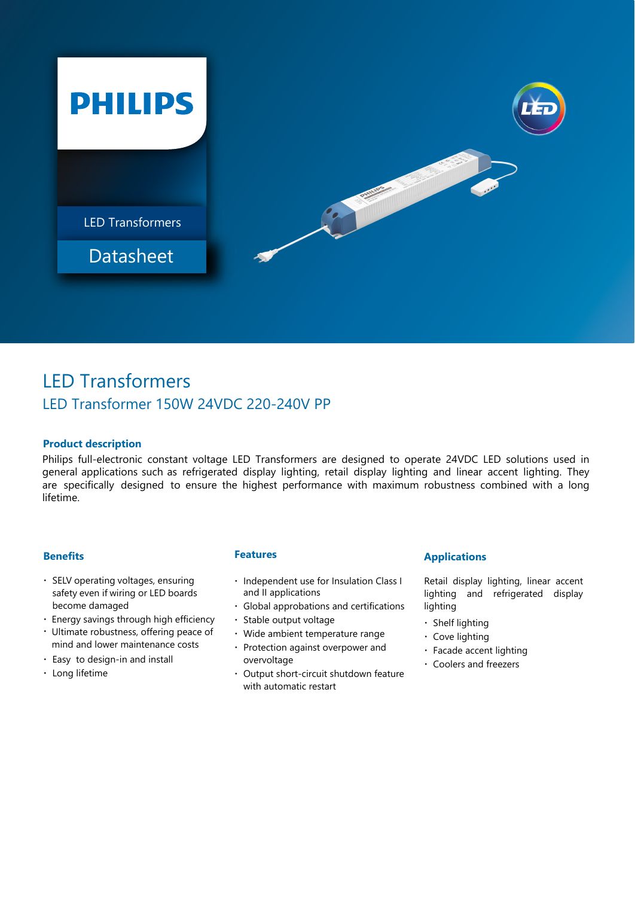

# LED Transformers LED Transformer 150W 24VDC 220-240V PP

# **Product description**

Philips full-electronic constant voltage LED Transformers are designed to operate 24VDC LED solutions used in general applications such as refrigerated display lighting, retail display lighting and linear accent lighting. They are specifically designed to ensure the highest performance with maximum robustness combined with a long lifetime.

## **Benefits**

- SELV operating voltages, ensuring safety even if wiring or LED boards become damaged
- Energy savings through high efficiency
- Ultimate robustness, offering peace of mind and lower maintenance costs
- Easy to design-in and install
- Long lifetime

## **Features**

- Independent use for Insulation Class I and II applications
- Global approbations and certifications
- Stable output voltage
- Wide ambient temperature range
- Protection against overpower and overvoltage
- Output short-circuit shutdown feature with automatic restart

# **Applications**

Retail display lighting, linear accent lighting and refrigerated display lighting

- Shelf lighting
- Cove lighting
- Facade accent lighting
- Coolers and freezers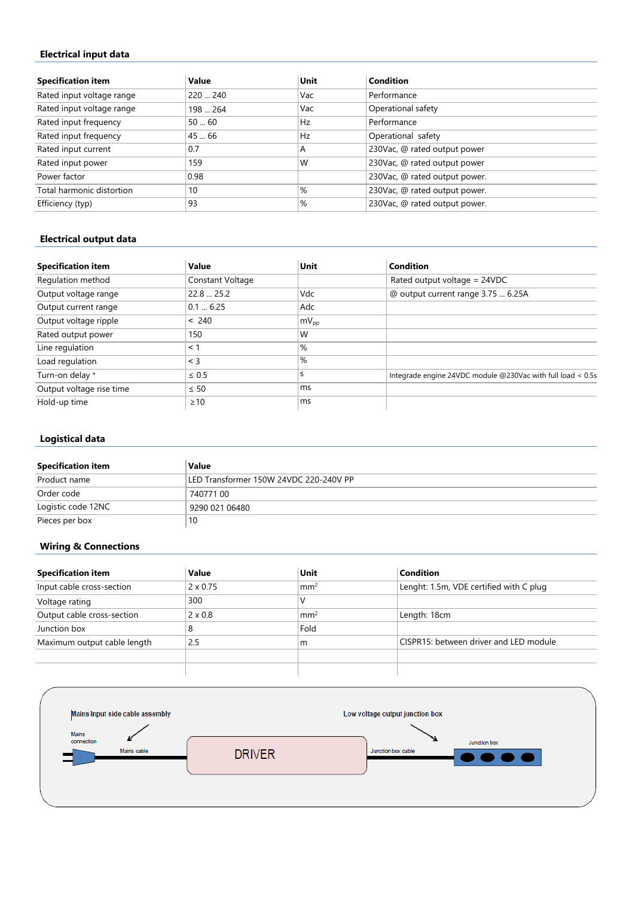## **Electrical input data**

| <b>Specification item</b> | Value    | Unit | Condition                     |
|---------------------------|----------|------|-------------------------------|
| Rated input voltage range | 220  240 | Vac  | Performance                   |
| Rated input voltage range | 198  264 | Vac  | Operational safety            |
| Rated input frequency     | 5060     | Hz   | Performance                   |
| Rated input frequency     | 45  66   | Hz   | Operational safety            |
| Rated input current       | 0.7      | Α    | 230Vac, @ rated output power  |
| Rated input power         | 159      | W    | 230Vac, @ rated output power  |
| Power factor              | 0.98     |      | 230Vac, @ rated output power. |
| Total harmonic distortion | 10       | %    | 230Vac, @ rated output power. |
| Efficiency (typ)          | 93       | %    | 230Vac, @ rated output power. |

## **Electrical output data**

| <b>Specification item</b> | Value            | Unit             | <b>Condition</b>                                            |
|---------------------------|------------------|------------------|-------------------------------------------------------------|
| Regulation method         | Constant Voltage |                  | Rated output voltage = 24VDC                                |
| Output voltage range      | 22.8  25.2       | Vdc              | @ output current range 3.75  6.25A                          |
| Output current range      | 0.16.25          | Adc              |                                                             |
| Output voltage ripple     | < 240            | $mV_{\text{op}}$ |                                                             |
| Rated output power        | 150              | W                |                                                             |
| Line regulation           | $<$ 1            | %                |                                                             |
| Load regulation           | $\leq$ 3         | $\frac{9}{6}$    |                                                             |
| Turn-on delay *           | $\leq 0.5$       | S                | Integrade engine 24VDC module @230Vac with full load < 0.5s |
| Output voltage rise time  | $\leq 50$        | ms               |                                                             |
| Hold-up time              | $\geq 10$        | ms               |                                                             |

# **Logistical data**

| <b>Specification item</b> | Value                                  |
|---------------------------|----------------------------------------|
| Product name              | LED Transformer 150W 24VDC 220-240V PP |
| Order code                | 74077100                               |
| Logistic code 12NC        | 9290 021 06480                         |
| Pieces per box            | 10                                     |

# **Wiring & Connections**

| <b>Specification item</b>   | Value           | Unit            | Condition                               |
|-----------------------------|-----------------|-----------------|-----------------------------------------|
| Input cable cross-section   | $2 \times 0.75$ | mm <sup>2</sup> | Lenght: 1.5m, VDE certified with C plug |
| Voltage rating              | 300             |                 |                                         |
| Output cable cross-section  | $2 \times 0.8$  | mm <sup>2</sup> | Length: 18cm                            |
| Junction box                | 8               | Fold            |                                         |
| Maximum output cable length | 2.5             | m               | CISPR15: between driver and LED module  |
|                             |                 |                 |                                         |
|                             |                 |                 |                                         |

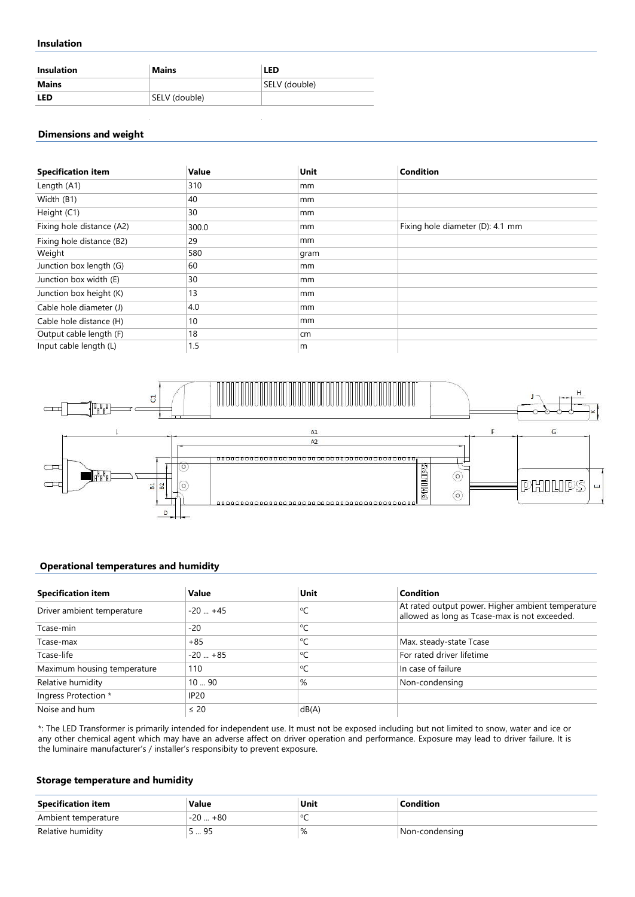#### **Insulation**

| <b>Insulation</b> | <b>Mains</b>  | <b>LED</b>    |
|-------------------|---------------|---------------|
| Mains             |               | SELV (double) |
| LED               | SELV (double) |               |

#### **Dimensions and weight**

| <b>Specification item</b> | Value | Unit | <b>Condition</b>                 |
|---------------------------|-------|------|----------------------------------|
| Length (A1)               | 310   | mm   |                                  |
| Width (B1)                | 40    | mm   |                                  |
| Height (C1)               | 30    | mm   |                                  |
| Fixing hole distance (A2) | 300.0 | mm   | Fixing hole diameter (D): 4.1 mm |
| Fixing hole distance (B2) | 29    | mm   |                                  |
| Weight                    | 580   | gram |                                  |
| Junction box length (G)   | 60    | mm   |                                  |
| Junction box width (E)    | 30    | mm   |                                  |
| Junction box height (K)   | 13    | mm   |                                  |
| Cable hole diameter (J)   | 4.0   | mm   |                                  |
| Cable hole distance (H)   | 10    | mm   |                                  |
| Output cable length (F)   | 18    | cm   |                                  |
| Input cable length (L)    | 1.5   | l m  |                                  |



## **Operational temperatures and humidity**

| <b>Specification item</b>   | Value       | Unit                 | <b>Condition</b>                                                                                   |
|-----------------------------|-------------|----------------------|----------------------------------------------------------------------------------------------------|
| Driver ambient temperature  | $-20$ $+45$ | °C                   | At rated output power. Higher ambient temperature<br>allowed as long as Tcase-max is not exceeded. |
| Tcase-min                   | $-20$       | ∣℃                   |                                                                                                    |
| Tcase-max                   | $+85$       | $^{\circ}$ C         | Max. steady-state Tcase                                                                            |
| Tcase-life                  | $-20$ $+85$ | $\mathsf{C}^{\circ}$ | For rated driver lifetime                                                                          |
| Maximum housing temperature | 110         | °C                   | In case of failure                                                                                 |
| Relative humidity           | 1090        | %                    | Non-condensing                                                                                     |
| Ingress Protection *        | <b>IP20</b> |                      |                                                                                                    |
| Noise and hum               | $\leq 20$   | dB(A)                |                                                                                                    |

\*: The LED Transformer is primarily intended for independent use. It must not be exposed including but not limited to snow, water and ice or any other chemical agent which may have an adverse affect on driver operation and performance. Exposure may lead to driver failure. It is the luminaire manufacturer's / installer's responsibity to prevent exposure.

#### **Storage temperature and humidity**

| <b>Specification item</b> | Value               | Unit | Condition      |
|---------------------------|---------------------|------|----------------|
| Ambient temperature       | $+80$<br>าก<br>∵-∠∪ |      |                |
| Relative humidity         | QE<br>ر  ب          | %    | Non-condensing |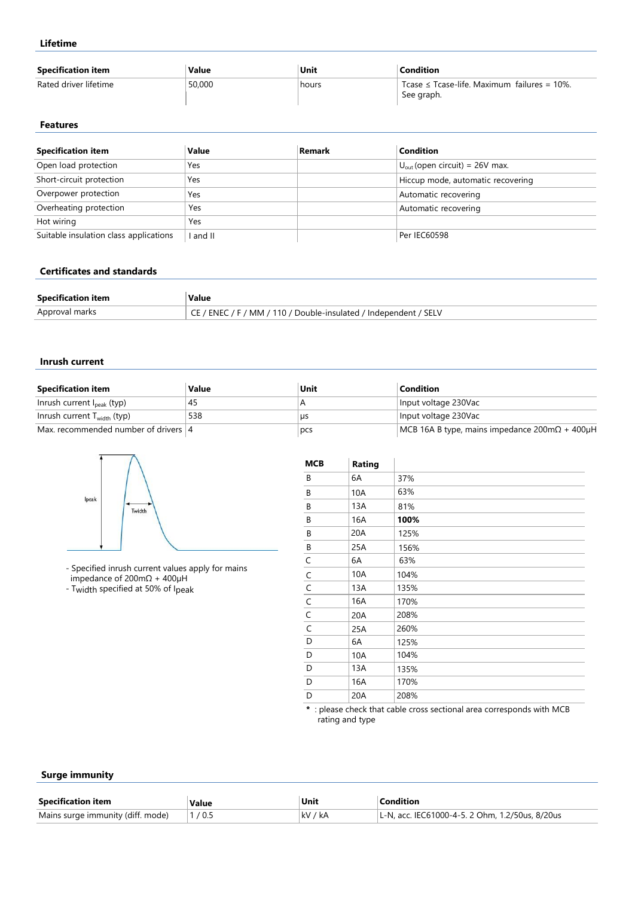**Lifetime**

| <b>Specification item</b> | Value  | Unit  | Condition                                                      |
|---------------------------|--------|-------|----------------------------------------------------------------|
| Rated driver lifetime     | 50,000 | hours | Tcase $\leq$ Tcase-life. Maximum failures = 10%.<br>See graph. |

#### **Features**

| <b>Specification item</b>              | Value  | Remark | <b>Condition</b>                           |
|----------------------------------------|--------|--------|--------------------------------------------|
| Open load protection                   | Yes    |        | $U_{\text{out}}$ (open circuit) = 26V max. |
| Short-circuit protection               | Yes    |        | Hiccup mode, automatic recovering          |
| Overpower protection                   | Yes    |        | Automatic recovering                       |
| Overheating protection                 | Yes    |        | Automatic recovering                       |
| Hot wiring                             | Yes    |        |                                            |
| Suitable insulation class applications | and II |        | Per IEC60598                               |

#### **Certificates and standards**

| <b>Specification item</b> | Value                                                               |
|---------------------------|---------------------------------------------------------------------|
| Approval marks            | / ENEC / F / MM / 110 / Double-insulated / Independent / SELV<br>◡└ |

#### **Inrush current**

| <b>Specification item</b>              | Value | Unit | Condition                                                              |
|----------------------------------------|-------|------|------------------------------------------------------------------------|
| Inrush current $I_{\text{peak}}$ (typ) | 45    |      | Input voltage 230Vac                                                   |
| Inrush current $T_{width}$ (typ)       | 538   | us   | Input voltage 230Vac                                                   |
| Max. recommended number of drivers  4  |       | pcs  | MCB 16A B type, mains impedance $200 \text{m}\Omega + 400 \mu\text{H}$ |



- Specified inrush current values apply for mains impedance of 200mΩ + 400µH

- Twidth specified at 50% of Ipeak

| MCB                         | Rating |      |
|-----------------------------|--------|------|
| В                           | 6A     | 37%  |
| B                           | 10A    | 63%  |
| В                           | 13A    | 81%  |
| В                           | 16A    | 100% |
| В                           | 20A    | 125% |
| $\sf B$                     | 25A    | 156% |
|                             | 6A     | 63%  |
| $\frac{C}{C}$ $\frac{C}{C}$ | 10A    | 104% |
|                             | 13A    | 135% |
|                             | 16A    | 170% |
|                             | 20A    | 208% |
|                             | 25A    | 260% |
| D                           | 6A     | 125% |
| D                           | 10A    | 104% |
| D                           | 13A    | 135% |
| D                           | 16A    | 170% |
| D                           | 20A    | 208% |

**\*** : please check that cable cross sectional area corresponds with MCB rating and type

#### **Surge immunity**

| <b>Specification item</b>         | Value | Unit    | Condition                                       |  |  |  |
|-----------------------------------|-------|---------|-------------------------------------------------|--|--|--|
| Mains surge immunity (diff. mode) | 1/0.5 | kV / kA | L-N, acc. IEC61000-4-5. 2 Ohm, 1.2/50us, 8/20us |  |  |  |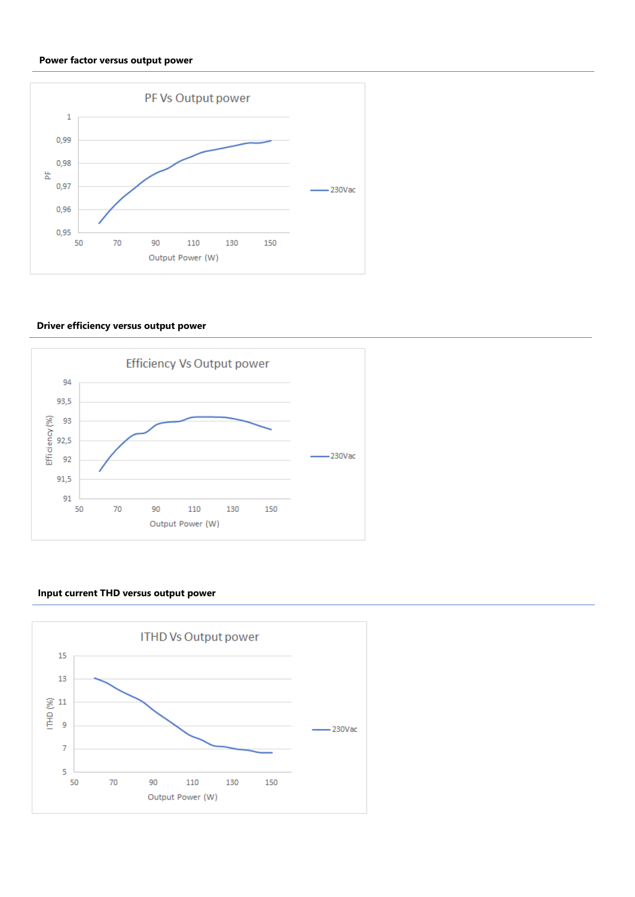#### **Power factor versus output power**



## **Driver efficiency versus output power**



## **Input current THD versus output power**